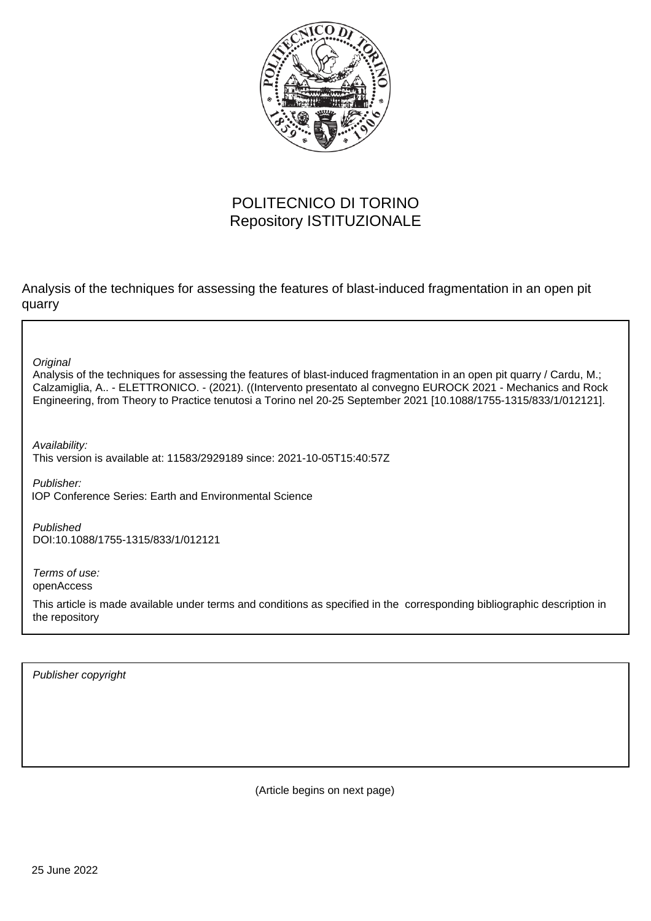

## POLITECNICO DI TORINO Repository ISTITUZIONALE

Analysis of the techniques for assessing the features of blast-induced fragmentation in an open pit quarry

**Original** 

Analysis of the techniques for assessing the features of blast-induced fragmentation in an open pit quarry / Cardu, M.; Calzamiglia, A.. - ELETTRONICO. - (2021). ((Intervento presentato al convegno EUROCK 2021 - Mechanics and Rock Engineering, from Theory to Practice tenutosi a Torino nel 20-25 September 2021 [10.1088/1755-1315/833/1/012121].

Availability: This version is available at: 11583/2929189 since: 2021-10-05T15:40:57Z

Publisher: IOP Conference Series: Earth and Environmental Science

Published DOI:10.1088/1755-1315/833/1/012121

Terms of use: openAccess

This article is made available under terms and conditions as specified in the corresponding bibliographic description in the repository

Publisher copyright

(Article begins on next page)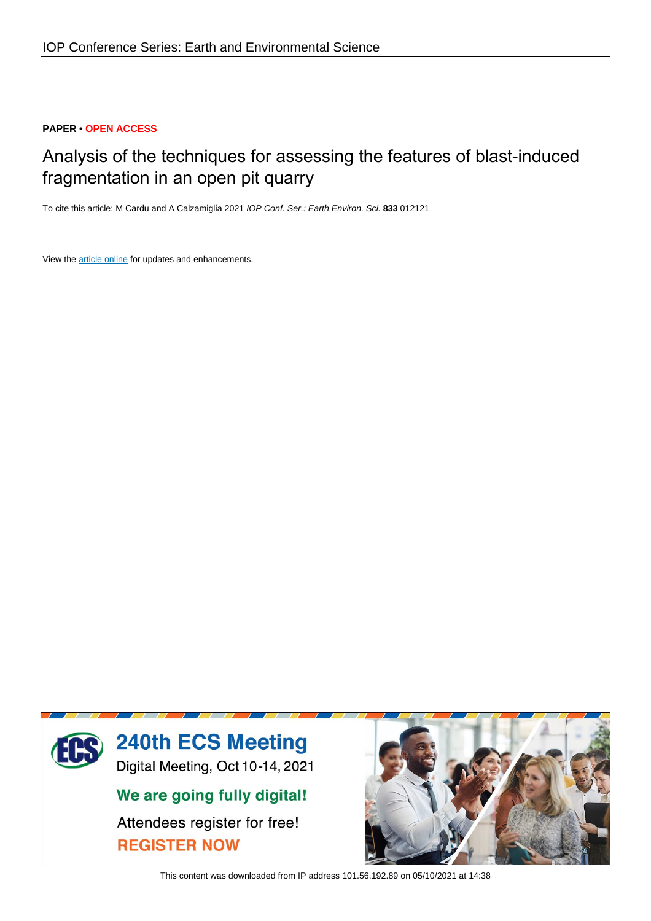## **PAPER • OPEN ACCESS**

# Analysis of the techniques for assessing the features of blast-induced fragmentation in an open pit quarry

To cite this article: M Cardu and A Calzamiglia 2021 IOP Conf. Ser.: Earth Environ. Sci. **833** 012121

View the article online for updates and enhancements.



This content was downloaded from IP address 101.56.192.89 on 05/10/2021 at 14:38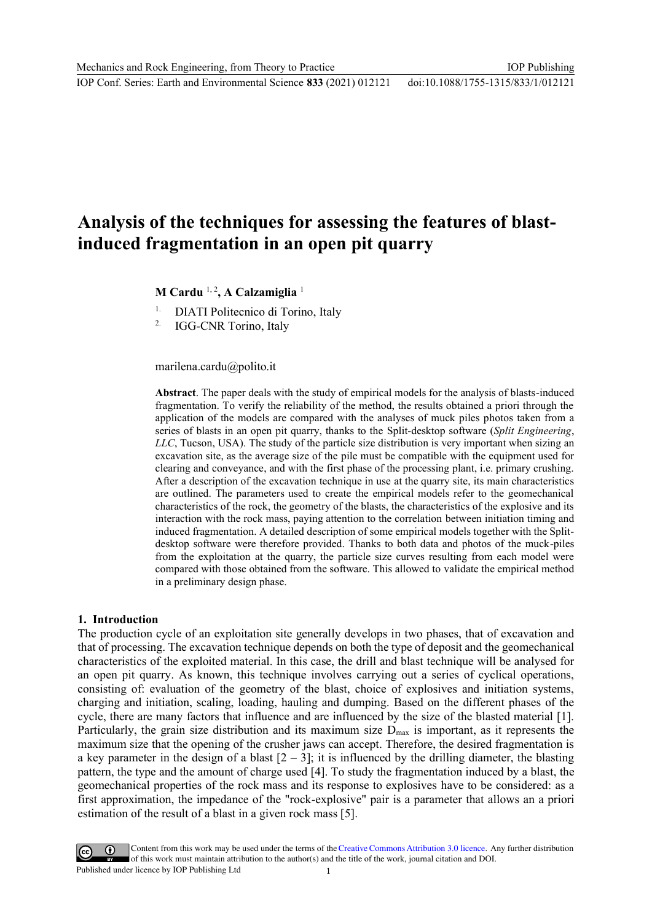IOP Conf. Series: Earth and Environmental Science **833** (2021) 012121

## **Analysis of the techniques for assessing the features of blastinduced fragmentation in an open pit quarry**

**M Cardu** 1, 2**, A Calzamiglia** <sup>1</sup>

DIATI Politecnico di Torino, Italy

<sup>2.</sup> IGG-CNR Torino, Italy

marilena.cardu@polito.it

**Abstract**. The paper deals with the study of empirical models for the analysis of blasts-induced fragmentation. To verify the reliability of the method, the results obtained a priori through the application of the models are compared with the analyses of muck piles photos taken from a series of blasts in an open pit quarry, thanks to the Split-desktop software (*Split Engineering*, *LLC*, Tucson, USA). The study of the particle size distribution is very important when sizing an excavation site, as the average size of the pile must be compatible with the equipment used for clearing and conveyance, and with the first phase of the processing plant, i.e. primary crushing. After a description of the excavation technique in use at the quarry site, its main characteristics are outlined. The parameters used to create the empirical models refer to the geomechanical characteristics of the rock, the geometry of the blasts, the characteristics of the explosive and its interaction with the rock mass, paying attention to the correlation between initiation timing and induced fragmentation. A detailed description of some empirical models together with the Splitdesktop software were therefore provided. Thanks to both data and photos of the muck-piles from the exploitation at the quarry, the particle size curves resulting from each model were compared with those obtained from the software. This allowed to validate the empirical method in a preliminary design phase.

### **1. Introduction**

The production cycle of an exploitation site generally develops in two phases, that of excavation and that of processing. The excavation technique depends on both the type of deposit and the geomechanical characteristics of the exploited material. In this case, the drill and blast technique will be analysed for an open pit quarry. As known, this technique involves carrying out a series of cyclical operations, consisting of: evaluation of the geometry of the blast, choice of explosives and initiation systems, charging and initiation, scaling, loading, hauling and dumping. Based on the different phases of the cycle, there are many factors that influence and are influenced by the size of the blasted material [1]. Particularly, the grain size distribution and its maximum size  $D_{\text{max}}$  is important, as it represents the maximum size that the opening of the crusher jaws can accept. Therefore, the desired fragmentation is a key parameter in the design of a blast  $[2 - 3]$ ; it is influenced by the drilling diameter, the blasting pattern, the type and the amount of charge used [4]. To study the fragmentation induced by a blast, the geomechanical properties of the rock mass and its response to explosives have to be considered: as a first approximation, the impedance of the "rock-explosive" pair is a parameter that allows an a priori estimation of the result of a blast in a given rock mass [5].

Content from this work may be used under the terms of theCreative Commons Attribution 3.0 licence. Any further distribution of this work must maintain attribution to the author(s) and the title of the work, journal citation and DOI. Published under licence by IOP Publishing Ltd 1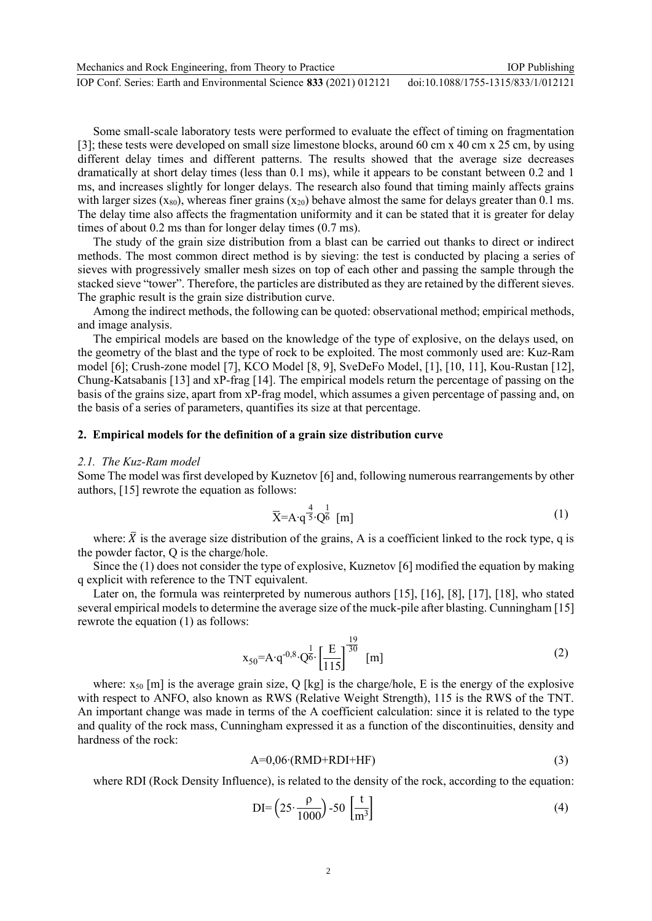| Mechanics and Rock Engineering, from Theory to Practice             | <b>IOP</b> Publishing              |
|---------------------------------------------------------------------|------------------------------------|
| IOP Conf. Series: Earth and Environmental Science 833 (2021) 012121 | doi:10.1088/1755-1315/833/1/012121 |

Some small-scale laboratory tests were performed to evaluate the effect of timing on fragmentation [3]; these tests were developed on small size limestone blocks, around 60 cm x 40 cm x 25 cm, by using different delay times and different patterns. The results showed that the average size decreases dramatically at short delay times (less than 0.1 ms), while it appears to be constant between 0.2 and 1 ms, and increases slightly for longer delays. The research also found that timing mainly affects grains with larger sizes  $(x_{80})$ , whereas finer grains  $(x_{20})$  behave almost the same for delays greater than 0.1 ms. The delay time also affects the fragmentation uniformity and it can be stated that it is greater for delay times of about 0.2 ms than for longer delay times (0.7 ms).

The study of the grain size distribution from a blast can be carried out thanks to direct or indirect methods. The most common direct method is by sieving: the test is conducted by placing a series of sieves with progressively smaller mesh sizes on top of each other and passing the sample through the stacked sieve "tower". Therefore, the particles are distributed as they are retained by the different sieves. The graphic result is the grain size distribution curve.

Among the indirect methods, the following can be quoted: observational method; empirical methods, and image analysis.

The empirical models are based on the knowledge of the type of explosive, on the delays used, on the geometry of the blast and the type of rock to be exploited. The most commonly used are: Kuz-Ram model [6]; Crush-zone model [7], KCO Model [8, 9], SveDeFo Model, [1], [10, 11], Kou-Rustan [12], Chung-Katsabanis [13] and xP-frag [14]. The empirical models return the percentage of passing on the basis of the grains size, apart from xP-frag model, which assumes a given percentage of passing and, on the basis of a series of parameters, quantifies its size at that percentage.

#### **2. Empirical models for the definition of a grain size distribution curve**

#### *2.1. The Kuz-Ram model*

Some The model was first developed by Kuznetov [6] and, following numerous rearrangements by other authors, [15] rewrote the equation as follows:

$$
\overline{X} = A \cdot q^{\frac{4}{5}} \cdot Q^{\frac{1}{6}} \text{ [m]}
$$
 (1)

where:  $\bar{X}$  is the average size distribution of the grains, A is a coefficient linked to the rock type, q is the powder factor, Q is the charge/hole.

Since the (1) does not consider the type of explosive, Kuznetov [6] modified the equation by making q explicit with reference to the TNT equivalent.

Later on, the formula was reinterpreted by numerous authors [15], [16], [8], [17], [18], who stated several empirical models to determine the average size of the muck-pile after blasting. Cunningham [15] rewrote the equation (1) as follows:

$$
x_{50} = A \cdot q^{-0.8} \cdot Q^{\frac{1}{6}} \cdot \left[\frac{E}{115}\right]^{\frac{19}{30}} \text{ [m]}
$$
 (2)

where:  $x_{50}$  [m] is the average grain size, Q [kg] is the charge/hole, E is the energy of the explosive with respect to ANFO, also known as RWS (Relative Weight Strength), 115 is the RWS of the TNT. An important change was made in terms of the A coefficient calculation: since it is related to the type and quality of the rock mass, Cunningham expressed it as a function of the discontinuities, density and hardness of the rock:

$$
A=0,06 \cdot (RMD+RDI+HF) \tag{3}
$$

where RDI (Rock Density Influence), is related to the density of the rock, according to the equation:

$$
DI = \left(25 \cdot \frac{\rho}{1000}\right) - 50 \left[\frac{t}{m^3}\right]
$$
\n<sup>(4)</sup>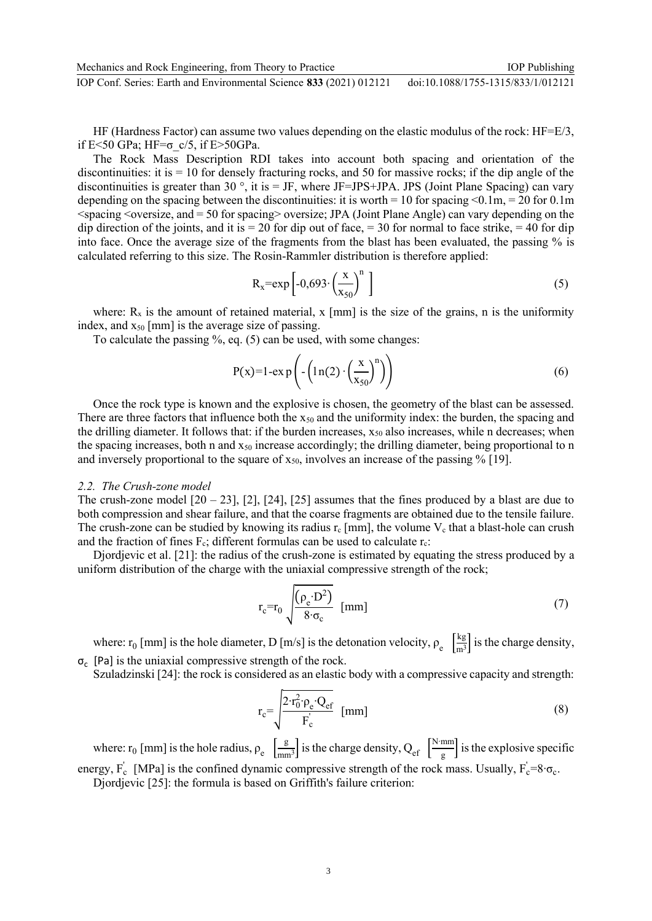HF (Hardness Factor) can assume two values depending on the elastic modulus of the rock:  $HF=E/3$ , if E<50 GPa; HF= $\sigma$  c/5, if E>50GPa.

The Rock Mass Description RDI takes into account both spacing and orientation of the discontinuities: it is = 10 for densely fracturing rocks, and 50 for massive rocks; if the dip angle of the discontinuities is greater than 30  $^{\circ}$ , it is = JF, where JF=JPS+JPA. JPS (Joint Plane Spacing) can vary depending on the spacing between the discontinuities: it is worth = 10 for spacing <0.1m, = 20 for 0.1m  $\leq$ spacing  $\leq$ oversize, and  $=$  50 for spacing $\geq$  oversize; JPA (Joint Plane Angle) can vary depending on the dip direction of the joints, and it is  $= 20$  for dip out of face,  $= 30$  for normal to face strike,  $= 40$  for dip into face. Once the average size of the fragments from the blast has been evaluated, the passing % is calculated referring to this size. The Rosin-Rammler distribution is therefore applied:

$$
R_x = exp\left[-0.693 \cdot \left(\frac{x}{x_{50}}\right)^n\right]
$$
\n(5)

where:  $R_x$  is the amount of retained material, x [mm] is the size of the grains, n is the uniformity index, and  $x_{50}$  [mm] is the average size of passing.

To calculate the passing %, eq. (5) can be used, with some changes:

$$
P(x)=1-ex p\left(-\left(1 n(2) \cdot \left(\frac{x}{x_{50}}\right)^n\right)\right) \tag{6}
$$

Once the rock type is known and the explosive is chosen, the geometry of the blast can be assessed. There are three factors that influence both the  $x_{50}$  and the uniformity index: the burden, the spacing and the drilling diameter. It follows that: if the burden increases,  $x_{50}$  also increases, while n decreases; when the spacing increases, both n and  $x_{50}$  increase accordingly; the drilling diameter, being proportional to n and inversely proportional to the square of  $x_{50}$ , involves an increase of the passing % [19].

#### *2.2. The Crush-zone model*

The crush-zone model  $[20 - 23]$ ,  $[2]$ ,  $[24]$ ,  $[25]$  assumes that the fines produced by a blast are due to both compression and shear failure, and that the coarse fragments are obtained due to the tensile failure. The crush-zone can be studied by knowing its radius  $r_c$  [mm], the volume  $V_c$  that a blast-hole can crush and the fraction of fines  $F_c$ ; different formulas can be used to calculate  $r_c$ :

Djordjevic et al. [21]: the radius of the crush-zone is estimated by equating the stress produced by a uniform distribution of the charge with the uniaxial compressive strength of the rock;

$$
r_c=r_0 \sqrt{\frac{(\rho_e \cdot D^2)}{8 \cdot \sigma_c}} \text{ [mm]}
$$
 (7)

where: r<sub>0</sub> [mm] is the hole diameter, D [m/s] is the detonation velocity,  $\rho_e \left[ \frac{\text{kg}}{\text{m}^3} \right]$  $\frac{mg}{m^3}$  is the charge density,  $\sigma_c$  [Pa] is the uniaxial compressive strength of the rock.

Szuladzinski [24]: the rock is considered as an elastic body with a compressive capacity and strength:

$$
r_c = \sqrt{\frac{2 \cdot r_0^2 \cdot \rho_e \cdot Q_{ef}}{F_c}}
$$
 [mm] (8)

where: r<sub>0</sub> [mm] is the hole radius,  $\rho_e$   $\int_{\text{mn}}^{\text{g}}$  $\frac{g}{m m^3}$  is the charge density, Q<sub>ef</sub>  $\left[\frac{N \cdot m m}{g}\right]$  $\frac{m}{g}$  is the explosive specific energy,  $F_c$  [MPa] is the confined dynamic compressive strength of the rock mass. Usually,  $F_c = 8 \cdot \sigma_c$ .

Djordjevic [25]: the formula is based on Griffith's failure criterion: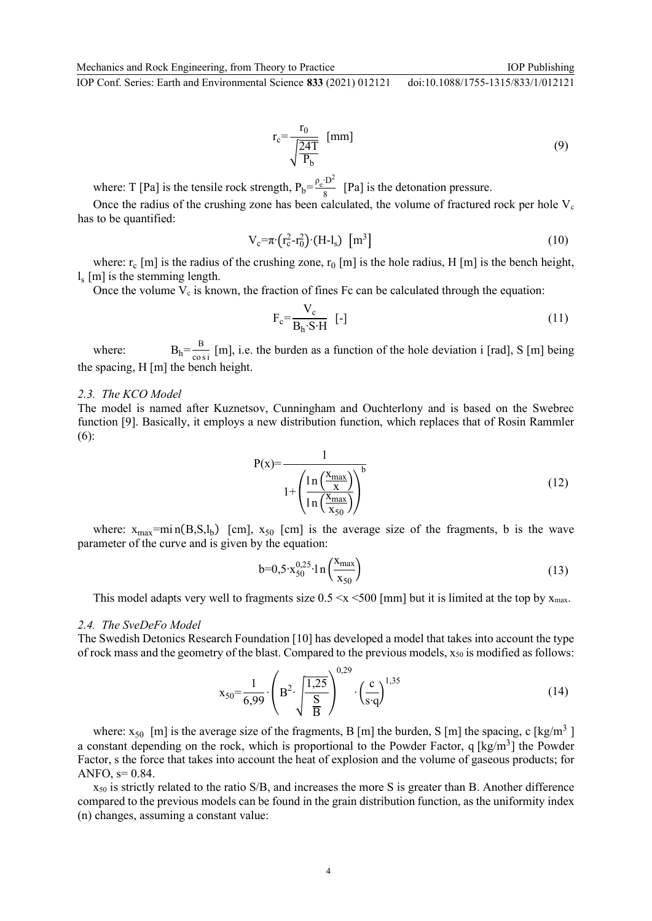IOP Conf. Series: Earth and Environmental Science **833** (2021) 012121 doi:10.1088/1755-1315/833/1/012121

$$
r_c = \frac{r_0}{\sqrt{\frac{24T}{P_b}}} \quad \text{[mm]}
$$
\n<sup>(9)</sup>

where: T [Pa] is the tensile rock strength,  $P_b = \frac{\rho_c \cdot D^2}{8}$  $\frac{1}{8}$  [Pa] is the detonation pressure.

Once the radius of the crushing zone has been calculated, the volume of fractured rock per hole  $V_c$ has to be quantified:

$$
V_c = \pi \cdot (r_c^2 - r_0^2) \cdot (H - l_s) \quad [m^3]
$$
 (10)

where:  $r_c$  [m] is the radius of the crushing zone,  $r_0$  [m] is the hole radius, H [m] is the bench height, ls [m] is the stemming length.

Once the volume  $V_c$  is known, the fraction of fines Fc can be calculated through the equation:

$$
F_c = \frac{V_c}{B_h \cdot S \cdot H} \quad [-]
$$
\n<sup>(11)</sup>

where:  $B_h = \frac{B}{c_0}$  $\frac{D}{\cos i}$  [m], i.e. the burden as a function of the hole deviation i [rad], S [m] being the spacing, H [m] the bench height.

#### *2.3. The KCO Model*

The model is named after Kuznetsov, Cunningham and Ouchterlony and is based on the Swebrec function [9]. Basically, it employs a new distribution function, which replaces that of Rosin Rammler (6):

$$
P(x) = \frac{1}{1 + \left(\frac{\ln\left(\frac{X_{\text{max}}}{x}\right)}{\ln\left(\frac{X_{\text{max}}}{x_{50}}\right)}\right)^{b}}
$$
(12)

where:  $x_{max}$ =mi n(B,S,l<sub>b</sub>) [cm],  $x_{50}$  [cm] is the average size of the fragments, b is the wave parameter of the curve and is given by the equation:

$$
b=0,5\cdot x_{50}^{0,25}\cdot \ln\left(\frac{x_{\text{max}}}{x_{50}}\right) \tag{13}
$$

This model adapts very well to fragments size  $0.5 \le x \le 500$  [mm] but it is limited at the top by  $x_{\text{max}}$ .

#### *2.4. The SveDeFo Model*

The Swedish Detonics Research Foundation [10] has developed a model that takes into account the type of rock mass and the geometry of the blast. Compared to the previous models,  $x_{50}$  is modified as follows:

$$
x_{50} = \frac{1}{6,99} \cdot \left( B^2 \cdot \sqrt{\frac{1,25}{B}} \right)^{0,29} \cdot \left( \frac{c}{s \cdot q} \right)^{1,35}
$$
 (14)

where:  $x_{50}$  [m] is the average size of the fragments, B [m] the burden, S [m] the spacing, c [kg/m<sup>3</sup>] a constant depending on the rock, which is proportional to the Powder Factor, q [kg/m<sup>3</sup>] the Powder Factor, s the force that takes into account the heat of explosion and the volume of gaseous products; for ANFO,  $s=0.84$ .

 $x_{50}$  is strictly related to the ratio S/B, and increases the more S is greater than B. Another difference compared to the previous models can be found in the grain distribution function, as the uniformity index (n) changes, assuming a constant value: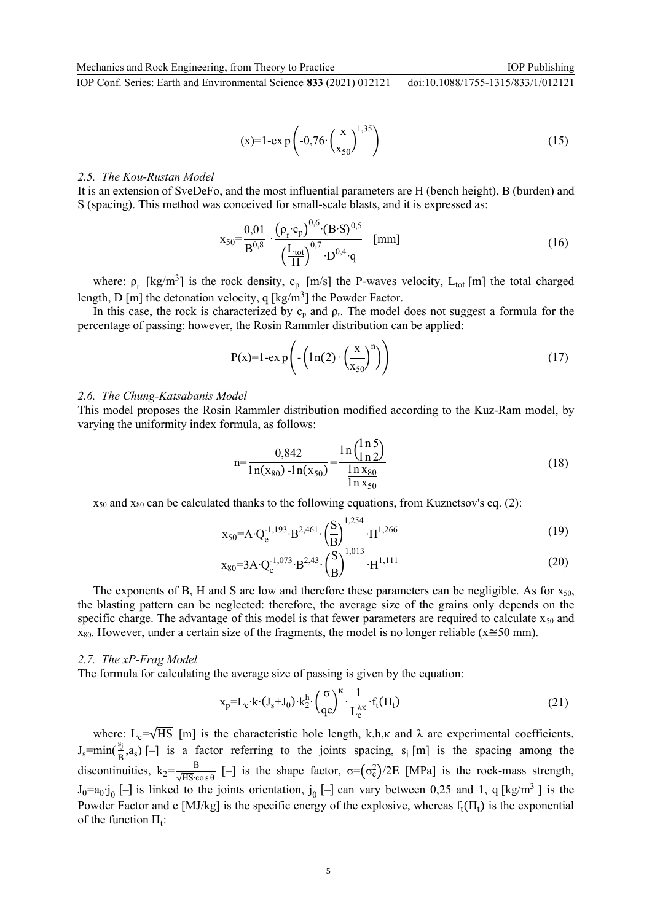IOP Publishing

IOP Conf. Series: Earth and Environmental Science **833** (2021) 012121 doi:10.1088/1755-1315/833/1/012121

> $(x)=1$ -ex p  $\left(-0,76\right)$ x  $\frac{1}{x_{50}}$ 1,35 $(15)$

#### *2.5. The Kou-Rustan Model*

It is an extension of SveDeFo, and the most influential parameters are H (bench height), B (burden) and S (spacing). This method was conceived for small-scale blasts, and it is expressed as:

$$
x_{50} = \frac{0.01}{B^{0.8}} \cdot \frac{\left(\rho_r \cdot c_p\right)^{0.6} \cdot (B \cdot S)^{0.5}}{\left(\frac{L_{\text{tot}}}{H}\right)^{0.7} \cdot D^{0.4} \cdot q} \quad [\text{mm}] \tag{16}
$$

where:  $\rho_r$  [kg/m<sup>3</sup>] is the rock density,  $c_p$  [m/s] the P-waves velocity, L<sub>tot</sub> [m] the total charged length, D [m] the detonation velocity, q  $[kg/m^3]$  the Powder Factor.

In this case, the rock is characterized by  $c_p$  and  $p_r$ . The model does not suggest a formula for the percentage of passing: however, the Rosin Rammler distribution can be applied:

$$
P(x)=1-ex p\left(-\left(1 n(2) \cdot \left(\frac{x}{x_{50}}\right)^n\right)\right)
$$
\n(17)

#### *2.6. The Chung-Katsabanis Model*

This model proposes the Rosin Rammler distribution modified according to the Kuz-Ram model, by varying the uniformity index formula, as follows:

$$
n = \frac{0,842}{\ln(x_{80}) - \ln(x_{50})} = \frac{\ln(\frac{\ln 5}{\ln 2})}{\frac{\ln x_{80}}{\ln x_{50}}}
$$
(18)

 $x_{50}$  and  $x_{80}$  can be calculated thanks to the following equations, from Kuznetsov's eq. (2):

$$
x_{50} = A \cdot Q_e^{-1,193} \cdot B^{2,461} \cdot \left(\frac{S}{B}\right)^{1,254} \cdot H^{1,266}
$$
 (19)

$$
x_{80} = 3A \cdot Q_e^{-1,073} \cdot B^{2,43} \cdot \left(\frac{S}{B}\right)^{1,013} \cdot H^{1,111}
$$
 (20)

The exponents of B, H and S are low and therefore these parameters can be negligible. As for  $x_{50}$ , the blasting pattern can be neglected: therefore, the average size of the grains only depends on the specific charge. The advantage of this model is that fewer parameters are required to calculate  $x_{50}$  and  $x_{80}$ . However, under a certain size of the fragments, the model is no longer reliable ( $x \approx 50$  mm).

#### *2.7. The xP-Frag Model*

The formula for calculating the average size of passing is given by the equation:

$$
x_p = L_c \cdot k \cdot (J_s + J_0) \cdot k_2^h \cdot \left(\frac{\sigma}{qe}\right)^{\kappa} \cdot \frac{1}{L_c^{\lambda \kappa}} \cdot f_t(\Pi_t)
$$
\n(21)

where:  $L_c=\sqrt{HS}$  [m] is the characteristic hole length, k,h, $\kappa$  and  $\lambda$  are experimental coefficients,  $J_s = min(\frac{s_j}{B}, a_s)$  [-] is a factor referring to the joints spacing, s<sub>j</sub> [m] is the spacing among the discontinuities,  $k_2 = \frac{B}{\sqrt{HS}\cdot c}$  $\frac{B}{\sqrt{HS}\cos\theta}$  [-] is the shape factor,  $\sigma=(\sigma_c^2)/2E$  [MPa] is the rock-mass strength,  $J_0=a_0$ ; $j_0$  [-] is linked to the joints orientation,  $j_0$  [-] can vary between 0,25 and 1, q [kg/m<sup>3</sup>] is the Powder Factor and e [MJ/kg] is the specific energy of the explosive, whereas  $f_t(\Pi_t)$  is the exponential of the function  $\Pi_t$ :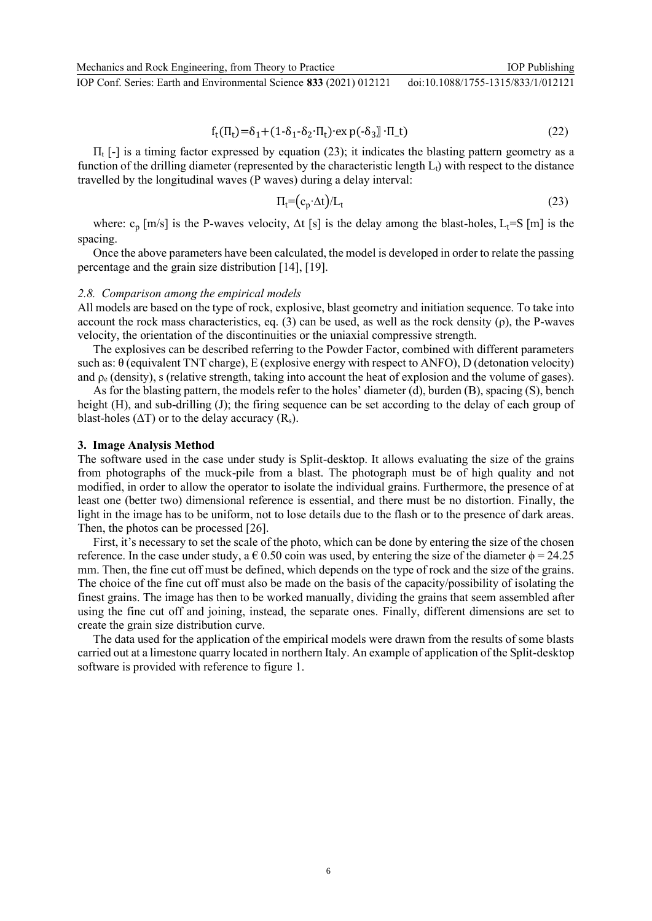Mechanics and Rock Engineering, from Theory to Practice IOP Conf. Series: Earth and Environmental Science **833** (2021) 012121 IOP Publishing doi:10.1088/1755-1315/833/1/012121

$$
f_t(\Pi_t) = \delta_1 + (1 - \delta_1 - \delta_2 \cdot \Pi_t) \cdot \exp(-\delta_3) \cdot \Pi_t \tag{22}
$$

 $\Pi_t$  [-] is a timing factor expressed by equation (23); it indicates the blasting pattern geometry as a function of the drilling diameter (represented by the characteristic length  $L_1$ ) with respect to the distance travelled by the longitudinal waves (P waves) during a delay interval:

$$
\Pi_t = (c_p \cdot \Delta t) / L_t \tag{23}
$$

where:  $c_p$  [m/s] is the P-waves velocity,  $\Delta t$  [s] is the delay among the blast-holes,  $L_t = S$  [m] is the spacing.

Once the above parameters have been calculated, the model is developed in order to relate the passing percentage and the grain size distribution [14], [19].

#### *2.8. Comparison among the empirical models*

All models are based on the type of rock, explosive, blast geometry and initiation sequence. To take into account the rock mass characteristics, eq. (3) can be used, as well as the rock density  $(\rho)$ , the P-waves velocity, the orientation of the discontinuities or the uniaxial compressive strength.

The explosives can be described referring to the Powder Factor, combined with different parameters such as: θ (equivalent TNT charge), E (explosive energy with respect to ANFO), D (detonation velocity) and  $\rho_e$  (density), s (relative strength, taking into account the heat of explosion and the volume of gases).

As for the blasting pattern, the models refer to the holes' diameter (d), burden (B), spacing (S), bench height (H), and sub-drilling (J); the firing sequence can be set according to the delay of each group of blast-holes ( $\Delta T$ ) or to the delay accuracy ( $R_s$ ).

#### **3. Image Analysis Method**

The software used in the case under study is Split-desktop. It allows evaluating the size of the grains from photographs of the muck-pile from a blast. The photograph must be of high quality and not modified, in order to allow the operator to isolate the individual grains. Furthermore, the presence of at least one (better two) dimensional reference is essential, and there must be no distortion. Finally, the light in the image has to be uniform, not to lose details due to the flash or to the presence of dark areas. Then, the photos can be processed [26].

First, it's necessary to set the scale of the photo, which can be done by entering the size of the chosen reference. In the case under study, a  $\epsilon$  0.50 coin was used, by entering the size of the diameter  $\phi$  = 24.25 mm. Then, the fine cut off must be defined, which depends on the type of rock and the size of the grains. The choice of the fine cut off must also be made on the basis of the capacity/possibility of isolating the finest grains. The image has then to be worked manually, dividing the grains that seem assembled after using the fine cut off and joining, instead, the separate ones. Finally, different dimensions are set to create the grain size distribution curve.

The data used for the application of the empirical models were drawn from the results of some blasts carried out at a limestone quarry located in northern Italy. An example of application of the Split-desktop software is provided with reference to figure 1.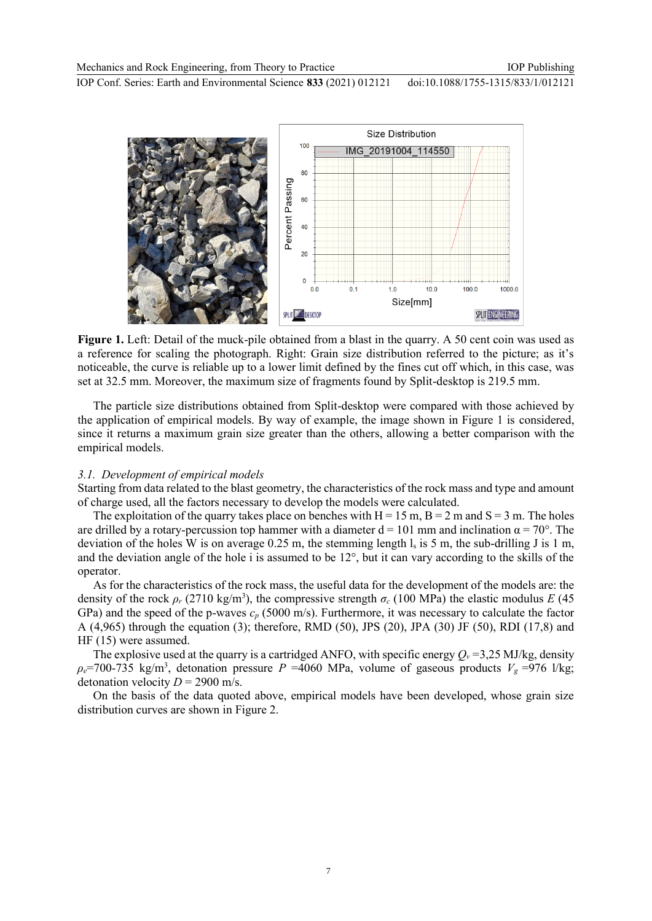

**Figure 1.** Left: Detail of the muck-pile obtained from a blast in the quarry. A 50 cent coin was used as a reference for scaling the photograph. Right: Grain size distribution referred to the picture; as it's noticeable, the curve is reliable up to a lower limit defined by the fines cut off which, in this case, was set at 32.5 mm. Moreover, the maximum size of fragments found by Split-desktop is 219.5 mm.

The particle size distributions obtained from Split-desktop were compared with those achieved by the application of empirical models. By way of example, the image shown in Figure 1 is considered, since it returns a maximum grain size greater than the others, allowing a better comparison with the empirical models.

#### *3.1. Development of empirical models*

Starting from data related to the blast geometry, the characteristics of the rock mass and type and amount of charge used, all the factors necessary to develop the models were calculated.

The exploitation of the quarry takes place on benches with  $H = 15$  m,  $B = 2$  m and  $S = 3$  m. The holes are drilled by a rotary-percussion top hammer with a diameter  $d = 101$  mm and inclination  $\alpha = 70^{\circ}$ . The deviation of the holes W is on average 0.25 m, the stemming length  $l_s$  is 5 m, the sub-drilling J is 1 m, and the deviation angle of the hole i is assumed to be  $12^{\circ}$ , but it can vary according to the skills of the operator.

As for the characteristics of the rock mass, the useful data for the development of the models are: the density of the rock  $\rho_r$  (2710 kg/m<sup>3</sup>), the compressive strength  $\sigma_c$  (100 MPa) the elastic modulus *E* (45 GPa) and the speed of the p-waves *c<sup>p</sup>* (5000 m/s). Furthermore, it was necessary to calculate the factor A (4,965) through the equation (3); therefore, RMD (50), JPS (20), JPA (30) JF (50), RDI (17,8) and HF (15) were assumed.

The explosive used at the quarry is a cartridged ANFO, with specific energy  $Q<sub>v</sub> = 3,25$  MJ/kg, density  $\rho_e$ =700-735 kg/m<sup>3</sup>, detonation pressure *P* =4060 MPa, volume of gaseous products  $V_g$  =976 l/kg; detonation velocity  $D = 2900$  m/s.

On the basis of the data quoted above, empirical models have been developed, whose grain size distribution curves are shown in Figure 2.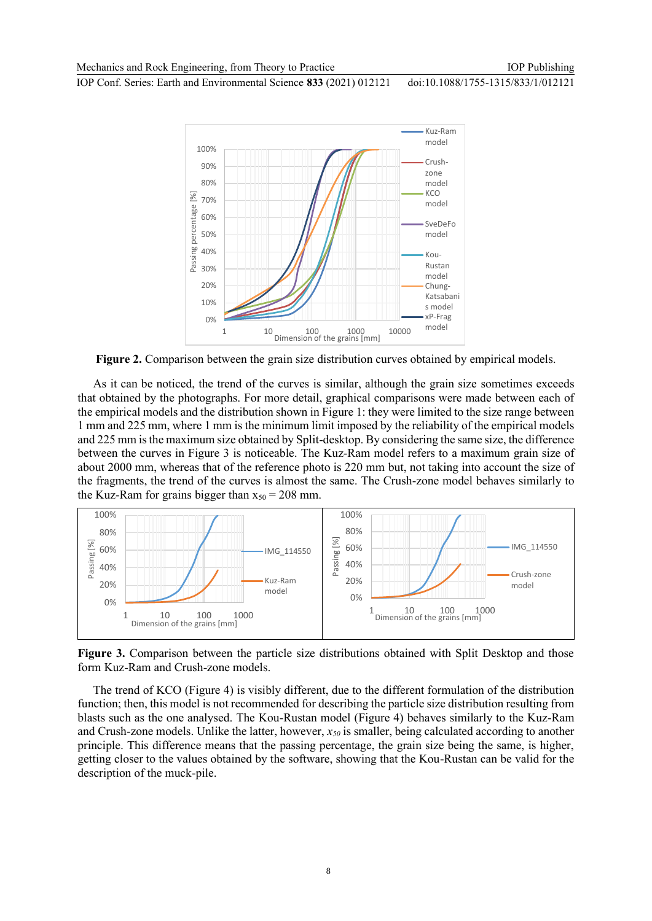IOP Conf. Series: Earth and Environmental Science **833** (2021) 012121 doi:10.1088/1755-1315/833/1/012121



**Figure 2.** Comparison between the grain size distribution curves obtained by empirical models.

As it can be noticed, the trend of the curves is similar, although the grain size sometimes exceeds that obtained by the photographs. For more detail, graphical comparisons were made between each of the empirical models and the distribution shown in Figure 1: they were limited to the size range between 1 mm and 225 mm, where 1 mm is the minimum limit imposed by the reliability of the empirical models and 225 mm is the maximum size obtained by Split-desktop. By considering the same size, the difference between the curves in Figure 3 is noticeable. The Kuz-Ram model refers to a maximum grain size of about 2000 mm, whereas that of the reference photo is 220 mm but, not taking into account the size of the fragments, the trend of the curves is almost the same. The Crush-zone model behaves similarly to the Kuz-Ram for grains bigger than  $x_{50} = 208$  mm.



**Figure 3.** Comparison between the particle size distributions obtained with Split Desktop and those form Kuz-Ram and Crush-zone models.

The trend of KCO (Figure 4) is visibly different, due to the different formulation of the distribution function; then, this model is not recommended for describing the particle size distribution resulting from blasts such as the one analysed. The Kou-Rustan model (Figure 4) behaves similarly to the Kuz-Ram and Crush-zone models. Unlike the latter, however, *x<sup>50</sup>* is smaller, being calculated according to another principle. This difference means that the passing percentage, the grain size being the same, is higher, getting closer to the values obtained by the software, showing that the Kou-Rustan can be valid for the description of the muck-pile.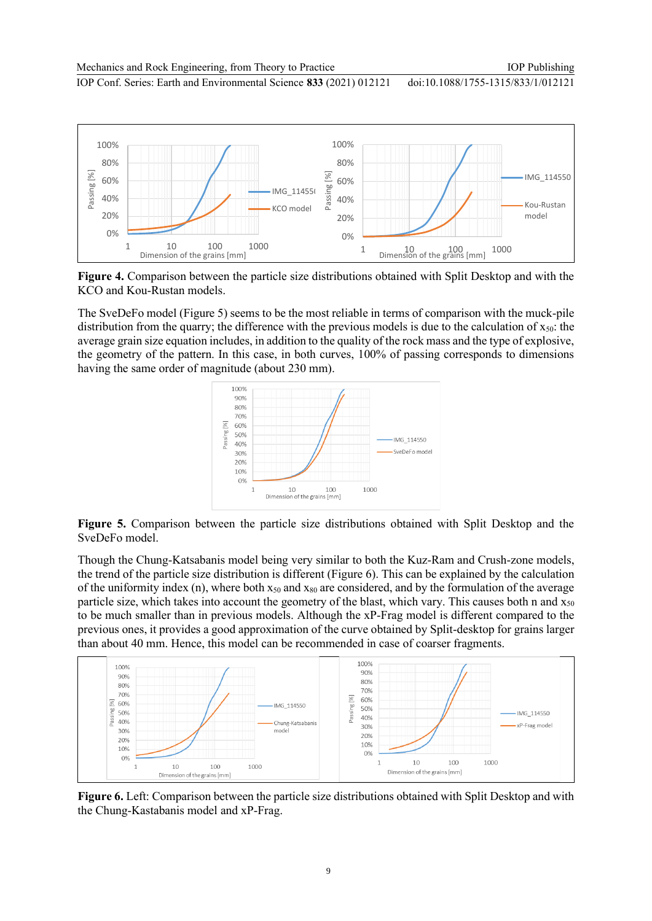Mechanics and Rock Engineering, from Theory to Practice

IOP Publishing

IOP Conf. Series: Earth and Environmental Science **833** (2021) 012121

doi:10.1088/1755-1315/833/1/012121



**Figure 4.** Comparison between the particle size distributions obtained with Split Desktop and with the KCO and Kou-Rustan models.

The SveDeFo model (Figure 5) seems to be the most reliable in terms of comparison with the muck-pile distribution from the quarry; the difference with the previous models is due to the calculation of  $x_{50}$ : the average grain size equation includes, in addition to the quality of the rock mass and the type of explosive, the geometry of the pattern. In this case, in both curves, 100% of passing corresponds to dimensions having the same order of magnitude (about 230 mm).



**Figure 5.** Comparison between the particle size distributions obtained with Split Desktop and the SveDeFo model.

Though the Chung-Katsabanis model being very similar to both the Kuz-Ram and Crush-zone models, the trend of the particle size distribution is different (Figure 6). This can be explained by the calculation of the uniformity index (n), where both  $x_{50}$  and  $x_{80}$  are considered, and by the formulation of the average particle size, which takes into account the geometry of the blast, which vary. This causes both n and  $x_{50}$ to be much smaller than in previous models. Although the xP-Frag model is different compared to the previous ones, it provides a good approximation of the curve obtained by Split-desktop for grains larger than about 40 mm. Hence, this model can be recommended in case of coarser fragments.



**Figure 6.** Left: Comparison between the particle size distributions obtained with Split Desktop and with the Chung-Kastabanis model and xP-Frag.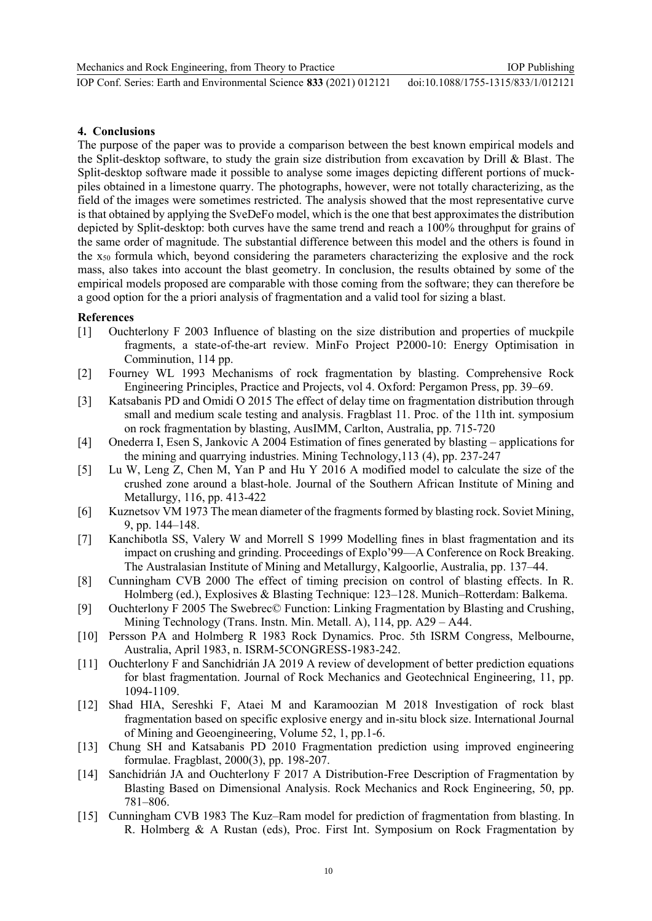## **4. Conclusions**

The purpose of the paper was to provide a comparison between the best known empirical models and the Split-desktop software, to study the grain size distribution from excavation by Drill & Blast. The Split-desktop software made it possible to analyse some images depicting different portions of muckpiles obtained in a limestone quarry. The photographs, however, were not totally characterizing, as the field of the images were sometimes restricted. The analysis showed that the most representative curve is that obtained by applying the SveDeFo model, which is the one that best approximates the distribution depicted by Split-desktop: both curves have the same trend and reach a 100% throughput for grains of the same order of magnitude. The substantial difference between this model and the others is found in the x<sup>50</sup> formula which, beyond considering the parameters characterizing the explosive and the rock mass, also takes into account the blast geometry. In conclusion, the results obtained by some of the empirical models proposed are comparable with those coming from the software; they can therefore be a good option for the a priori analysis of fragmentation and a valid tool for sizing a blast.

### **References**

- [1] Ouchterlony F 2003 Influence of blasting on the size distribution and properties of muckpile fragments, a state-of-the-art review. MinFo Project P2000-10: Energy Optimisation in Comminution, 114 pp.
- [2] Fourney WL 1993 Mechanisms of rock fragmentation by blasting. Comprehensive Rock Engineering Principles, Practice and Projects, vol 4. Oxford: Pergamon Press, pp. 39–69.
- [3] Katsabanis PD and Omidi O 2015 The effect of delay time on fragmentation distribution through small and medium scale testing and analysis. Fragblast 11. Proc. of the 11th int. symposium on rock fragmentation by blasting, AusIMM, Carlton, Australia, pp. 715-720
- [4] Onederra I, Esen S, Jankovic A 2004 Estimation of fines generated by blasting applications for the mining and quarrying industries. Mining Technology,113 (4), pp. 237-247
- [5] Lu W, Leng Z, Chen M, Yan P and Hu Y 2016 A modified model to calculate the size of the crushed zone around a blast-hole. Journal of the Southern African Institute of Mining and Metallurgy, 116, pp. 413-422
- [6] Kuznetsov VM 1973 The mean diameter of the fragments formed by blasting rock. Soviet Mining, 9, pp. 144–148.
- [7] Kanchibotla SS, Valery W and Morrell S 1999 Modelling fines in blast fragmentation and its impact on crushing and grinding. Proceedings of Explo'99—A Conference on Rock Breaking. The Australasian Institute of Mining and Metallurgy, Kalgoorlie, Australia, pp. 137–44.
- [8] Cunningham CVB 2000 The effect of timing precision on control of blasting effects. In R. Holmberg (ed.), Explosives & Blasting Technique: 123–128. Munich–Rotterdam: Balkema.
- [9] Ouchterlony F 2005 The Swebrec© Function: Linking Fragmentation by Blasting and Crushing, Mining Technology (Trans. Instn. Min. Metall. A), 114, pp. A29 – A44.
- [10] Persson PA and Holmberg R 1983 Rock Dynamics. Proc. 5th ISRM Congress, Melbourne, Australia, April 1983, n. ISRM-5CONGRESS-1983-242.
- [11] Ouchterlony F and Sanchidrián JA 2019 A review of development of better prediction equations for blast fragmentation. Journal of Rock Mechanics and Geotechnical Engineering, 11, pp. 1094-1109.
- [12] Shad HIA, Sereshki F, Ataei M and Karamoozian M 2018 Investigation of rock blast fragmentation based on specific explosive energy and in-situ block size. International Journal of Mining and Geoengineering, Volume 52, 1, pp.1-6.
- [13] Chung SH and Katsabanis PD 2010 Fragmentation prediction using improved engineering formulae. Fragblast, 2000(3), pp. 198-207.
- [14] Sanchidrián JA and Ouchterlony F 2017 A Distribution-Free Description of Fragmentation by Blasting Based on Dimensional Analysis. Rock Mechanics and Rock Engineering, 50, pp. 781–806.
- [15] Cunningham CVB 1983 The Kuz–Ram model for prediction of fragmentation from blasting. In R. Holmberg & A Rustan (eds), Proc. First Int. Symposium on Rock Fragmentation by